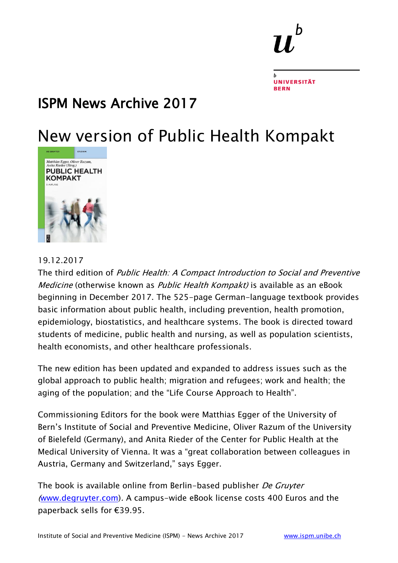### ISPM News Archive 2017

### New version of Public Health Kompakt



#### 19.12.2017

The third edition of Public Health: A Compact Introduction to Social and Preventive Medicine (otherwise known as Public Health Kompakt) is available as an eBook beginning in December 2017. The 525-page German-language textbook provides basic information about public health, including prevention, health promotion, epidemiology, biostatistics, and healthcare systems. The book is directed toward students of medicine, public health and nursing, as well as population scientists, health economists, and other healthcare professionals.

The new edition has been updated and expanded to address issues such as the global approach to public health; migration and refugees; work and health; the aging of the population; and the "Life Course Approach to Health".

Commissioning Editors for the book were Matthias Egger of the University of Bern's Institute of Social and Preventive Medicine, Oliver Razum of the University of Bielefeld (Germany), and Anita Rieder of the Center for Public Health at the Medical University of Vienna. It was a "great collaboration between colleagues in Austria, Germany and Switzerland," says Egger.

The book is available online from Berlin-based publisher De Gruyter ([www.degruyter.com\)](http://www.degruyter.com/). A campus-wide eBook license costs 400 Euros and the paperback sells for €39.95.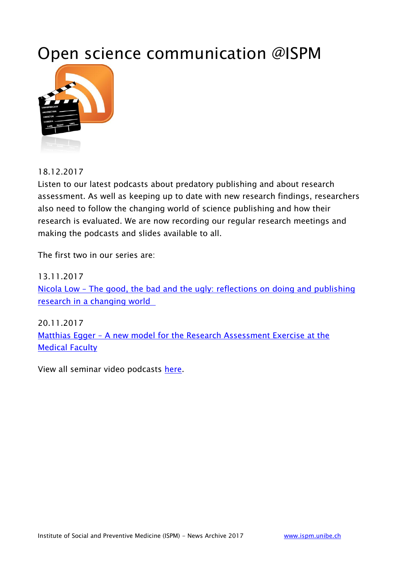### Open science communication @ISPM



18.12.2017

Listen to our latest podcasts about predatory publishing and about research assessment. As well as keeping up to date with new research findings, researchers also need to follow the changing world of science publishing and how their research is evaluated. We are now recording our regular research meetings and making the podcasts and slides available to all.

The first two in our series are:

13.11.2017 Nicola Low – [The good, the bad and the ugly: reflections on doing and publishing](http://www.ispm.unibe.ch/continuing_education/seminars/seminar_podcasts/the_good_the_bad_and_the_ugly_reflections_on_doing_and_publishing_research_in_a_changing_world/index_eng.html)  [research in a changing world](http://www.ispm.unibe.ch/continuing_education/seminars/seminar_podcasts/the_good_the_bad_and_the_ugly_reflections_on_doing_and_publishing_research_in_a_changing_world/index_eng.html) 

20.11.2017 Matthias Egger – [A new model for the Research Assessment Exercise at the](http://www.ispm.unibe.ch/continuing_education/seminars/seminar_podcasts/a_new_model_for_the_research_assessment_exercise_at_the_medical_faculty/index_eng.html)  [Medical Faculty](http://www.ispm.unibe.ch/continuing_education/seminars/seminar_podcasts/a_new_model_for_the_research_assessment_exercise_at_the_medical_faculty/index_eng.html)

View all seminar video podcasts [here.](http://www.ispm.unibe.ch/continuing_education/seminars/seminar_podcasts/index_eng.html)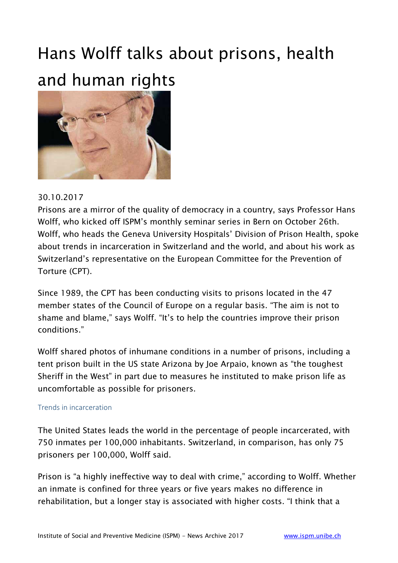### Hans Wolff talks about prisons, health and human rights



#### 30.10.2017

Prisons are a mirror of the quality of democracy in a country, says Professor Hans Wolff, who kicked off ISPM's monthly seminar series in Bern on October 26th. Wolff, who heads the Geneva University Hospitals' Division of Prison Health, spoke about trends in incarceration in Switzerland and the world, and about his work as Switzerland's representative on the European Committee for the Prevention of Torture (CPT).

Since 1989, the CPT has been conducting visits to prisons located in the 47 member states of the Council of Europe on a regular basis. "The aim is not to shame and blame," says Wolff. "It's to help the countries improve their prison conditions."

Wolff shared photos of inhumane conditions in a number of prisons, including a tent prison built in the US state Arizona by Joe Arpaio, known as "the toughest Sheriff in the West" in part due to measures he instituted to make prison life as uncomfortable as possible for prisoners.

#### Trends in incarceration

The United States leads the world in the percentage of people incarcerated, with 750 inmates per 100,000 inhabitants. Switzerland, in comparison, has only 75 prisoners per 100,000, Wolff said.

Prison is "a highly ineffective way to deal with crime," according to Wolff. Whether an inmate is confined for three years or five years makes no difference in rehabilitation, but a longer stay is associated with higher costs. "I think that a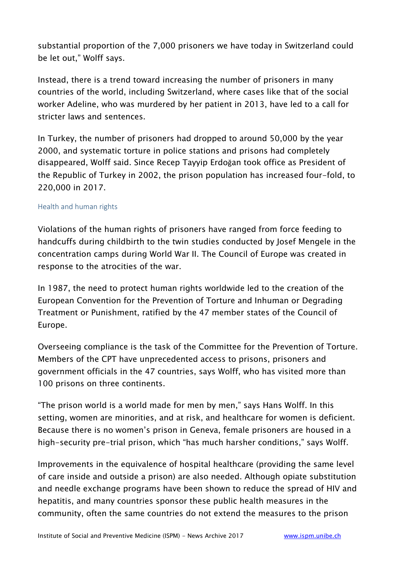substantial proportion of the 7,000 prisoners we have today in Switzerland could be let out," Wolff says.

Instead, there is a trend toward increasing the number of prisoners in many countries of the world, including Switzerland, where cases like that of the social worker Adeline, who was murdered by her patient in 2013, have led to a call for stricter laws and sentences.

In Turkey, the number of prisoners had dropped to around 50,000 by the year 2000, and systematic torture in police stations and prisons had completely disappeared, Wolff said. Since Recep Tayyip Erdoğan took office as President of the Republic of Turkey in 2002, the prison population has increased four-fold, to 220,000 in 2017.

#### Health and human rights

Violations of the human rights of prisoners have ranged from force feeding to handcuffs during childbirth to the twin studies conducted by Josef Mengele in the concentration camps during World War II. The Council of Europe was created in response to the atrocities of the war.

In 1987, the need to protect human rights worldwide led to the creation of the European Convention for the Prevention of Torture and Inhuman or Degrading Treatment or Punishment, ratified by the 47 member states of the Council of Europe.

Overseeing compliance is the task of the Committee for the Prevention of Torture. Members of the CPT have unprecedented access to prisons, prisoners and government officials in the 47 countries, says Wolff, who has visited more than 100 prisons on three continents.

"The prison world is a world made for men by men," says Hans Wolff. In this setting, women are minorities, and at risk, and healthcare for women is deficient. Because there is no women's prison in Geneva, female prisoners are housed in a high-security pre-trial prison, which "has much harsher conditions," says Wolff.

Improvements in the equivalence of hospital healthcare (providing the same level of care inside and outside a prison) are also needed. Although opiate substitution and needle exchange programs have been shown to reduce the spread of HIV and hepatitis, and many countries sponsor these public health measures in the community, often the same countries do not extend the measures to the prison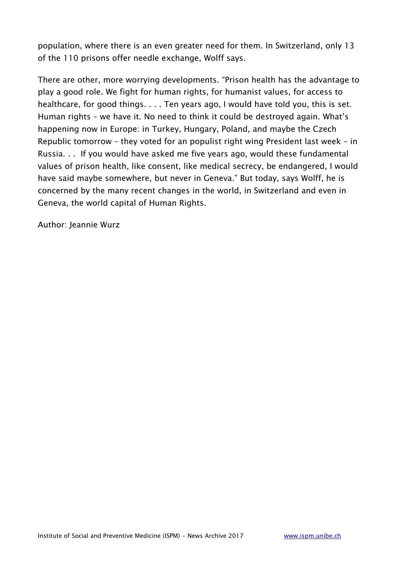population, where there is an even greater need for them. In Switzerland, only 13 of the 110 prisons offer needle exchange, Wolff says.

There are other, more worrying developments. "Prison health has the advantage to play a good role. We fight for human rights, for humanist values, for access to healthcare, for good things. . . . Ten years ago, I would have told you, this is set. Human rights – we have it. No need to think it could be destroyed again. What's happening now in Europe: in Turkey, Hungary, Poland, and maybe the Czech Republic tomorrow – they voted for an populist right wing President last week – in Russia. . . If you would have asked me five years ago, would these fundamental values of prison health, like consent, like medical secrecy, be endangered, I would have said maybe somewhere, but never in Geneva." But today, says Wolff, he is concerned by the many recent changes in the world, in Switzerland and even in Geneva, the world capital of Human Rights.

Author: Jeannie Wurz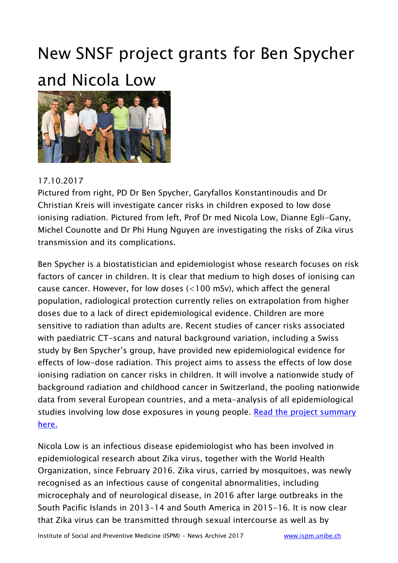## New SNSF project grants for Ben Spycher and Nicola Low



#### 17.10.2017

Pictured from right, PD Dr Ben Spycher, Garyfallos Konstantinoudis and Dr Christian Kreis will investigate cancer risks in children exposed to low dose ionising radiation. Pictured from left, Prof Dr med Nicola Low, Dianne Egli-Gany, Michel Counotte and Dr Phi Hung Nguyen are investigating the risks of Zika virus transmission and its complications.

Ben Spycher is a biostatistician and epidemiologist whose research focuses on risk factors of cancer in children. It is clear that medium to high doses of ionising can cause cancer. However, for low doses (<100 mSv), which affect the general population, radiological protection currently relies on extrapolation from higher doses due to a lack of direct epidemiological evidence. Children are more sensitive to radiation than adults are. Recent studies of cancer risks associated with paediatric CT-scans and natural background variation, including a Swiss study by Ben Spycher's group, have provided new epidemiological evidence for effects of low-dose radiation. This project aims to assess the effects of low dose ionising radiation on cancer risks in children. It will involve a nationwide study of background radiation and childhood cancer in Switzerland, the pooling nationwide data from several European countries, and a meta-analysis of all epidemiological studies involving low dose exposures in young people. Read the project summary [here.](http://www.ispm.unibe.ch/unibe/portal/fak_medizin/ber_vkhum/inst_smp/content/e93993/e95206/e612054/e612153/files612155/news_1017_Summary_Spycher_n_eng.pdf)

Nicola Low is an infectious disease epidemiologist who has been involved in epidemiological research about Zika virus, together with the World Health Organization, since February 2016. Zika virus, carried by mosquitoes, was newly recognised as an infectious cause of congenital abnormalities, including microcephaly and of neurological disease, in 2016 after large outbreaks in the South Pacific Islands in 2013-14 and South America in 2015-16. It is now clear that Zika virus can be transmitted through sexual intercourse as well as by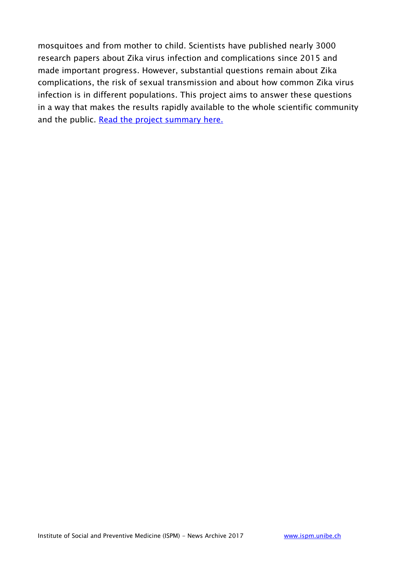mosquitoes and from mother to child. Scientists have published nearly 3000 research papers about Zika virus infection and complications since 2015 and made important progress. However, substantial questions remain about Zika complications, the risk of sexual transmission and about how common Zika virus infection is in different populations. This project aims to answer these questions in a way that makes the results rapidly available to the whole scientific community and the public. [Read the project summary here.](http://www.ispm.unibe.ch/unibe/portal/fak_medizin/ber_vkhum/inst_smp/content/e93993/e95206/e612054/e612153/files612174/news_1017_Summary_Low_eng.pdf)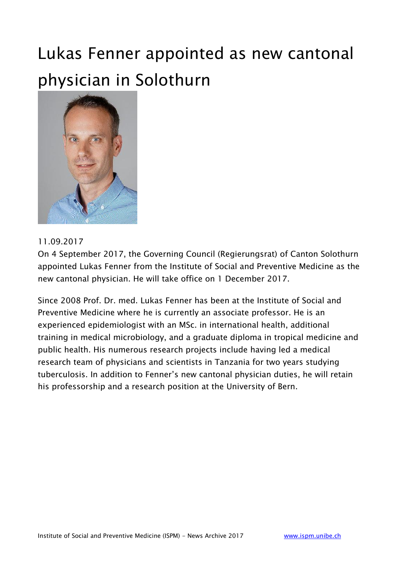### Lukas Fenner appointed as new cantonal physician in Solothurn



#### 11.09.2017

On 4 September 2017, the Governing Council (Regierungsrat) of Canton Solothurn appointed Lukas Fenner from the Institute of Social and Preventive Medicine as the new cantonal physician. He will take office on 1 December 2017.

Since 2008 Prof. Dr. med. Lukas Fenner has been at the Institute of Social and Preventive Medicine where he is currently an associate professor. He is an experienced epidemiologist with an MSc. in international health, additional training in medical microbiology, and a graduate diploma in tropical medicine and public health. His numerous research projects include having led a medical research team of physicians and scientists in Tanzania for two years studying tuberculosis. In addition to Fenner's new cantonal physician duties, he will retain his professorship and a research position at the University of Bern.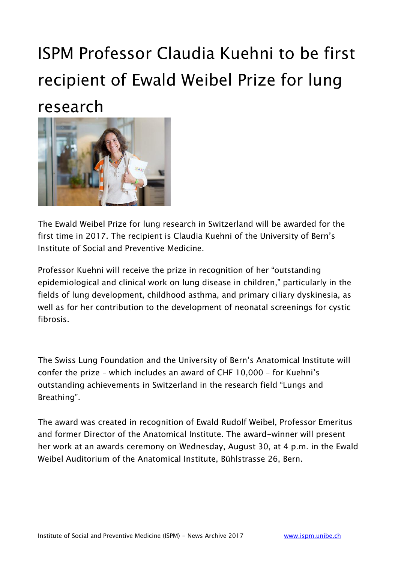## ISPM Professor Claudia Kuehni to be first recipient of Ewald Weibel Prize for lung research



The Ewald Weibel Prize for lung research in Switzerland will be awarded for the first time in 2017. The recipient is Claudia Kuehni of the University of Bern's Institute of Social and Preventive Medicine.

Professor Kuehni will receive the prize in recognition of her "outstanding epidemiological and clinical work on lung disease in children," particularly in the fields of lung development, childhood asthma, and primary ciliary dyskinesia, as well as for her contribution to the development of neonatal screenings for cystic fibrosis.

The Swiss Lung Foundation and the University of Bern's Anatomical Institute will confer the prize – which includes an award of CHF 10,000 – for Kuehni's outstanding achievements in Switzerland in the research field "Lungs and Breathing".

The award was created in recognition of Ewald Rudolf Weibel, Professor Emeritus and former Director of the Anatomical Institute. The award-winner will present her work at an awards ceremony on Wednesday, August 30, at 4 p.m. in the Ewald Weibel Auditorium of the Anatomical Institute, Bühlstrasse 26, Bern.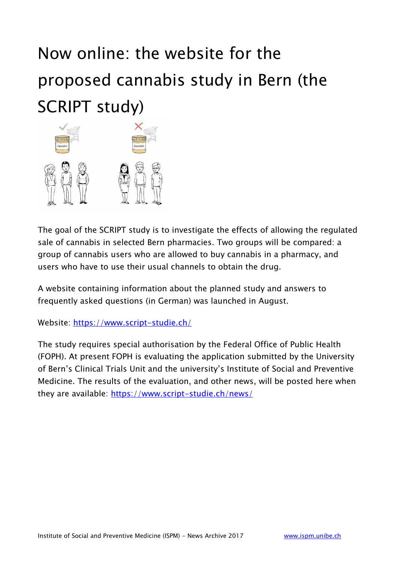## Now online: the website for the proposed cannabis study in Bern (the SCRIPT study)



The goal of the SCRIPT study is to investigate the effects of allowing the regulated sale of cannabis in selected Bern pharmacies. Two groups will be compared: a group of cannabis users who are allowed to buy cannabis in a pharmacy, and users who have to use their usual channels to obtain the drug.

A website containing information about the planned study and answers to frequently asked questions (in German) was launched in August.

Website:<https://www.script-studie.ch/>

The study requires special authorisation by the Federal Office of Public Health (FOPH). At present FOPH is evaluating the application submitted by the University of Bern's Clinical Trials Unit and the university's Institute of Social and Preventive Medicine. The results of the evaluation, and other news, will be posted here when they are available:<https://www.script-studie.ch/news/>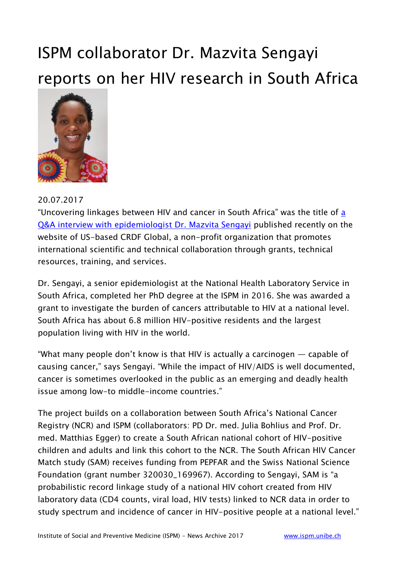### ISPM collaborator Dr. Mazvita Sengayi reports on her HIV research in South Africa



#### 20.07.2017

"Uncovering linkages between HIV and cancer in South Africa" was the title of a [Q&A interview with epidemiologist Dr. Mazvita Sengayi](http://www.crdfglobal.org/spotlights/uncovering-linkages-between-hiv-and-cancer-south-africa) published recently on the website of US-based CRDF Global, a non-profit organization that promotes international scientific and technical collaboration through grants, technical resources, training, and services.

Dr. Sengayi, a senior epidemiologist at the National Health Laboratory Service in South Africa, completed her PhD degree at the ISPM in 2016. She was awarded a grant to investigate the burden of cancers attributable to HIV at a national level. South Africa has about 6.8 million HIV-positive residents and the largest population living with HIV in the world.

"What many people don't know is that HIV is actually a carcinogen — capable of causing cancer," says Sengayi. "While the impact of HIV/AIDS is well documented, cancer is sometimes overlooked in the public as an emerging and deadly health issue among low-to middle-income countries."

The project builds on a collaboration between South Africa's National Cancer Registry (NCR) and ISPM (collaborators: PD Dr. med. Julia Bohlius and Prof. Dr. med. Matthias Egger) to create a South African national cohort of HIV-positive children and adults and link this cohort to the NCR. The South African HIV Cancer Match study (SAM) receives funding from PEPFAR and the Swiss National Science Foundation (grant number 320030\_169967). According to Sengayi, SAM is "a probabilistic record linkage study of a national HIV cohort created from HIV laboratory data (CD4 counts, viral load, HIV tests) linked to NCR data in order to study spectrum and incidence of cancer in HIV-positive people at a national level."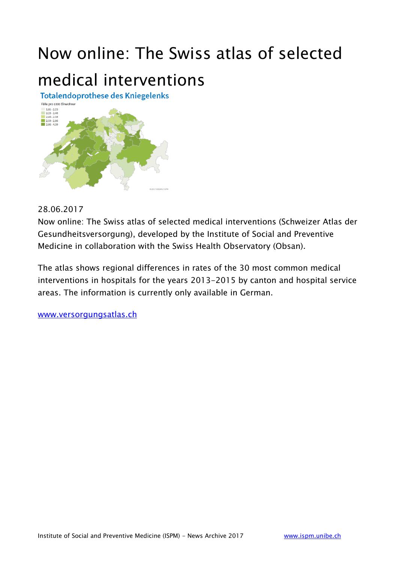## Now online: The Swiss atlas of selected medical interventions



#### 28.06.2017

Now online: The Swiss atlas of selected medical interventions (Schweizer Atlas der Gesundheitsversorgung), developed by the Institute of Social and Preventive Medicine in collaboration with the Swiss Health Observatory (Obsan).

The atlas shows regional differences in rates of the 30 most common medical interventions in hospitals for the years 2013-2015 by canton and hospital service areas. The information is currently only available in German.

[www.versorgungsatlas.ch](http://www.versorgungsatlas.ch/)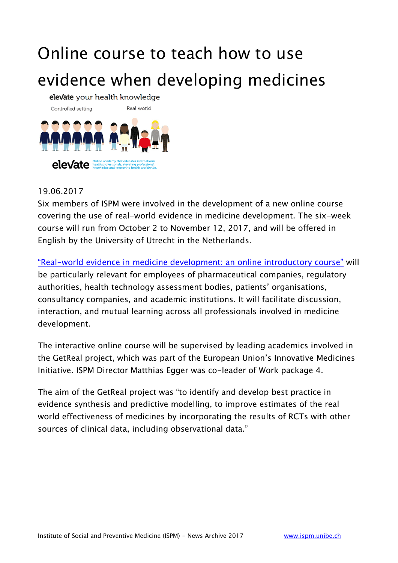## Online course to teach how to use evidence when developing medicines

elevate your health knowledge



#### 19.06.2017

Six members of ISPM were involved in the development of a new online course covering the use of real-world evidence in medicine development. The six-week course will run from October 2 to November 12, 2017, and will be offered in English by the University of Utrecht in the Netherlands.

"Real-[world evidence in medicine development: an online introductory course"](https://www.imi-getreal.eu/Course) will be particularly relevant for employees of pharmaceutical companies, regulatory authorities, health technology assessment bodies, patients' organisations, consultancy companies, and academic institutions. It will facilitate discussion, interaction, and mutual learning across all professionals involved in medicine development.

The interactive online course will be supervised by leading academics involved in the GetReal project, which was part of the European Union's Innovative Medicines Initiative. ISPM Director Matthias Egger was co-leader of Work package 4.

The aim of the GetReal project was "to identify and develop best practice in evidence synthesis and predictive modelling, to improve estimates of the real world effectiveness of medicines by incorporating the results of RCTs with other sources of clinical data, including observational data."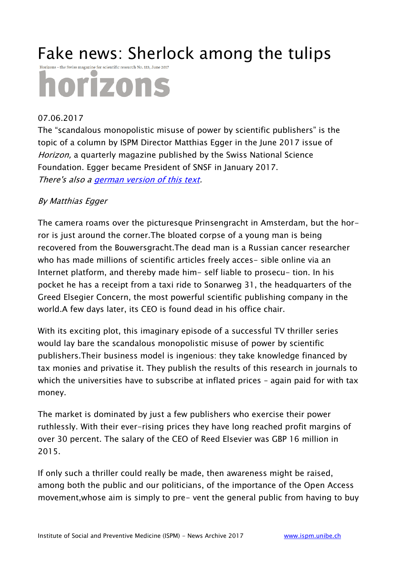### Fake news: Sherlock among the tulips

Horizons - the Swiss magazine for scientific research No. 113, June 2017

# horizons

#### 07.06.2017

The "scandalous monopolistic misuse of power by scientific publishers" is the topic of a column by ISPM Director Matthias Egger in the June 2017 issue of Horizon, a quarterly magazine published by the Swiss National Science Foundation. Egger became President of SNSF in January 2017. There's also a [german version of this text.](http://www.ispm.unibe.ch/about_us/news/fake_news_tatort_im_tulpenland/index_eng.html)

#### By Matthias Egger

The camera roams over the picturesque Prinsengracht in Amsterdam, but the horror is just around the corner.The bloated corpse of a young man is being recovered from the Bouwersgracht.The dead man is a Russian cancer researcher who has made millions of scientific articles freely acces- sible online via an Internet platform, and thereby made him- self liable to prosecu- tion. In his pocket he has a receipt from a taxi ride to Sonarweg 31, the headquarters of the Greed Elsegier Concern, the most powerful scientific publishing company in the world.A few days later, its CEO is found dead in his office chair.

With its exciting plot, this imaginary episode of a successful TV thriller series would lay bare the scandalous monopolistic misuse of power by scientific publishers.Their business model is ingenious: they take knowledge financed by tax monies and privatise it. They publish the results of this research in journals to which the universities have to subscribe at inflated prices – again paid for with tax money.

The market is dominated by just a few publishers who exercise their power ruthlessly. With their ever-rising prices they have long reached profit margins of over 30 percent. The salary of the CEO of Reed Elsevier was GBP 16 million in 2015.

If only such a thriller could really be made, then awareness might be raised, among both the public and our politicians, of the importance of the Open Access movement,whose aim is simply to pre- vent the general public from having to buy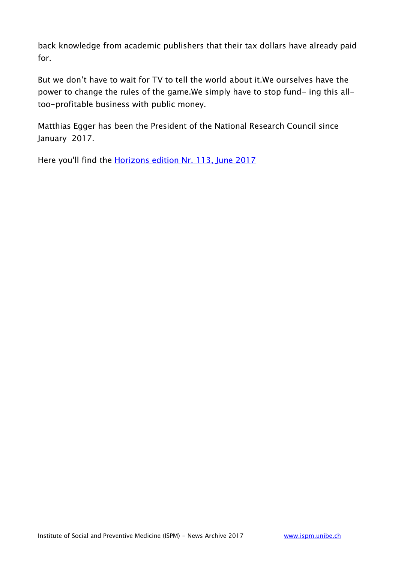back knowledge from academic publishers that their tax dollars have already paid for.

But we don't have to wait for TV to tell the world about it.We ourselves have the power to change the rules of the game.We simply have to stop fund- ing this alltoo-profitable business with public money.

Matthias Egger has been the President of the National Research Council since January 2017.

Here you'll find the [Horizons edition Nr. 113, June 2017](http://www.snf.ch/en/researchinFocus/research-magazine-horizons/archive/Pages/default.aspx)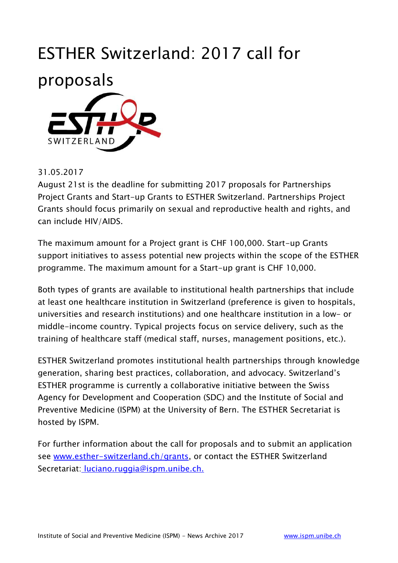### ESTHER Switzerland: 2017 call for



#### 31.05.2017

August 21st is the deadline for submitting 2017 proposals for Partnerships Project Grants and Start-up Grants to ESTHER Switzerland. Partnerships Project Grants should focus primarily on sexual and reproductive health and rights, and can include HIV/AIDS.

The maximum amount for a Project grant is CHF 100,000. Start-up Grants support initiatives to assess potential new projects within the scope of the ESTHER programme. The maximum amount for a Start-up grant is CHF 10,000.

Both types of grants are available to institutional health partnerships that include at least one healthcare institution in Switzerland (preference is given to hospitals, universities and research institutions) and one healthcare institution in a low- or middle-income country. Typical projects focus on service delivery, such as the training of healthcare staff (medical staff, nurses, management positions, etc.).

ESTHER Switzerland promotes institutional health partnerships through knowledge generation, sharing best practices, collaboration, and advocacy. Switzerland's ESTHER programme is currently a collaborative initiative between the Swiss Agency for Development and Cooperation (SDC) and the Institute of Social and Preventive Medicine (ISPM) at the University of Bern. The ESTHER Secretariat is hosted by ISPM.

For further information about the call for proposals and to submit an application see [www.esther-switzerland.ch/grants,](https://www.esther-switzerland.ch/grants/) or contact the ESTHER Switzerland Secretariat: luciano.ruggia@ispm.unibe.ch.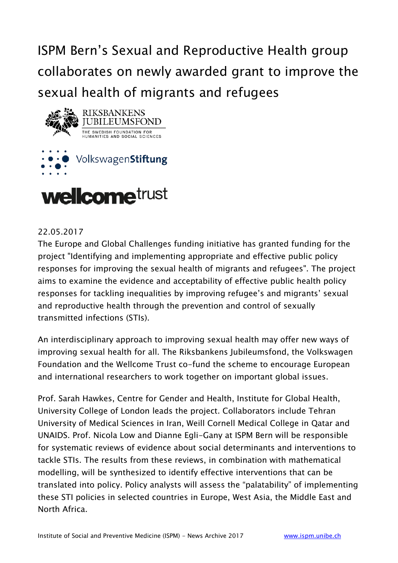ISPM Bern's Sexual and Reproductive Health group collaborates on newly awarded grant to improve the sexual health of migrants and refugees





#### 22.05.2017

The Europe and Global Challenges funding initiative has granted funding for the project "Identifying and implementing appropriate and effective public policy responses for improving the sexual health of migrants and refugees". The project aims to examine the evidence and acceptability of effective public health policy responses for tackling inequalities by improving refugee's and migrants' sexual and reproductive health through the prevention and control of sexually transmitted infections (STIs).

An interdisciplinary approach to improving sexual health may offer new ways of improving sexual health for all. The Riksbankens Jubileumsfond, the Volkswagen Foundation and the Wellcome Trust co-fund the scheme to encourage European and international researchers to work together on important global issues.

Prof. Sarah Hawkes, Centre for Gender and Health, Institute for Global Health, University College of London leads the project. Collaborators include Tehran University of Medical Sciences in Iran, Weill Cornell Medical College in Qatar and UNAIDS. Prof. Nicola Low and Dianne Egli-Gany at ISPM Bern will be responsible for systematic reviews of evidence about social determinants and interventions to tackle STIs. The results from these reviews, in combination with mathematical modelling, will be synthesized to identify effective interventions that can be translated into policy. Policy analysts will assess the "palatability" of implementing these STI policies in selected countries in Europe, West Asia, the Middle East and North Africa.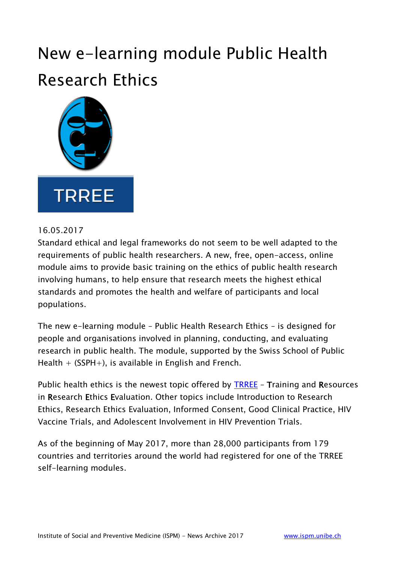### New e-learning module Public Health Research Ethics



#### 16.05.2017

Standard ethical and legal frameworks do not seem to be well adapted to the requirements of public health researchers. A new, free, open-access, online module aims to provide basic training on the ethics of public health research involving humans, to help ensure that research meets the highest ethical standards and promotes the health and welfare of participants and local populations.

The new e-learning module – Public Health Research Ethics – is designed for people and organisations involved in planning, conducting, and evaluating research in public health. The module, supported by the Swiss School of Public Health  $+$  (SSPH $+$ ), is available in English and French.

Public health ethics is the newest topic offered by [TRREE](http://elearning.trree.org/login/index.php) – Training and Resources in Research Ethics Evaluation. Other topics include Introduction to Research Ethics, Research Ethics Evaluation, Informed Consent, Good Clinical Practice, HIV Vaccine Trials, and Adolescent Involvement in HIV Prevention Trials.

As of the beginning of May 2017, more than 28,000 participants from 179 countries and territories around the world had registered for one of the TRREE self-learning modules.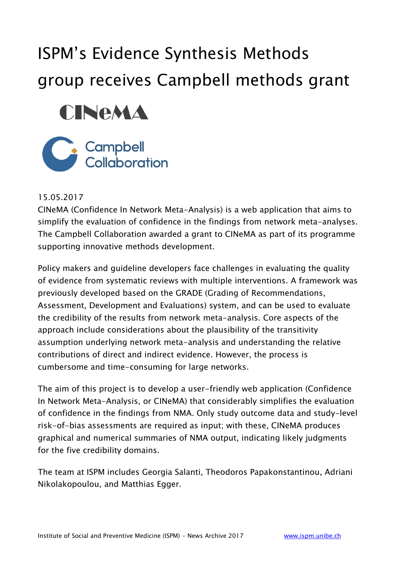## ISPM's Evidence Synthesis Methods group receives Campbell methods grant





#### 15.05.2017

CINeMA (Confidence In Network Meta-Analysis) is a web application that aims to simplify the evaluation of confidence in the findings from network meta-analyses. The Campbell Collaboration awarded a grant to CINeMA as part of its programme supporting innovative methods development.

Policy makers and guideline developers face challenges in evaluating the quality of evidence from systematic reviews with multiple interventions. A framework was previously developed based on the GRADE (Grading of Recommendations, Assessment, Development and Evaluations) system, and can be used to evaluate the credibility of the results from network meta-analysis. Core aspects of the approach include considerations about the plausibility of the transitivity assumption underlying network meta-analysis and understanding the relative contributions of direct and indirect evidence. However, the process is cumbersome and time-consuming for large networks.

The aim of this project is to develop a user-friendly web application (Confidence In Network Meta-Analysis, or CINeMA) that considerably simplifies the evaluation of confidence in the findings from NMA. Only study outcome data and study-level risk-of-bias assessments are required as input; with these, CINeMA produces graphical and numerical summaries of NMA output, indicating likely judgments for the five credibility domains.

The team at ISPM includes Georgia Salanti, Theodoros Papakonstantinou, Adriani Nikolakopoulou, and Matthias Egger.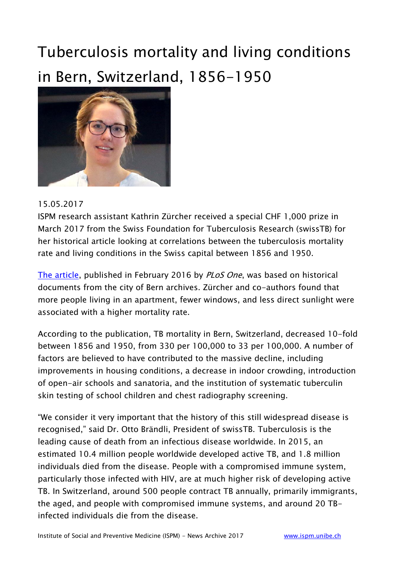### Tuberculosis mortality and living conditions in Bern, Switzerland, 1856-1950



#### 15.05.2017

ISPM research assistant Kathrin Zürcher received a special CHF 1,000 prize in March 2017 from the Swiss Foundation for Tuberculosis Research (swissTB) for her historical article looking at correlations between the tuberculosis mortality rate and living conditions in the Swiss capital between 1856 and 1950.

[The article,](https://www.ncbi.nlm.nih.gov/pubmed/26881850) published in February 2016 by *PLoS One*, was based on historical documents from the city of Bern archives. Zürcher and co-authors found that more people living in an apartment, fewer windows, and less direct sunlight were associated with a higher mortality rate.

According to the publication, TB mortality in Bern, Switzerland, decreased 10-fold between 1856 and 1950, from 330 per 100,000 to 33 per 100,000. A number of factors are believed to have contributed to the massive decline, including improvements in housing conditions, a decrease in indoor crowding, introduction of open-air schools and sanatoria, and the institution of systematic tuberculin skin testing of school children and chest radiography screening.

"We consider it very important that the history of this still widespread disease is recognised," said Dr. Otto Brändli, President of swissTB. Tuberculosis is the leading cause of death from an infectious disease worldwide. In 2015, an estimated 10.4 million people worldwide developed active TB, and 1.8 million individuals died from the disease. People with a compromised immune system, particularly those infected with HIV, are at much higher risk of developing active TB. In Switzerland, around 500 people contract TB annually, primarily immigrants, the aged, and people with compromised immune systems, and around 20 TBinfected individuals die from the disease.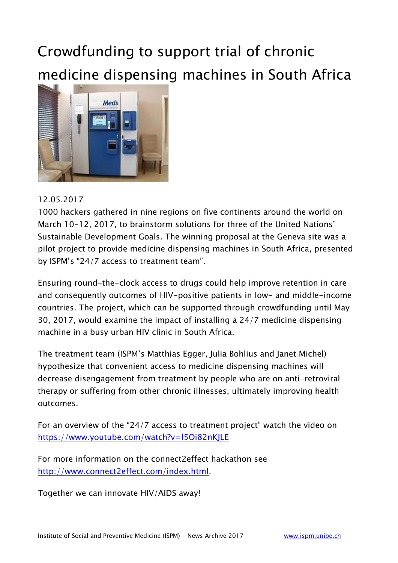### Crowdfunding to support trial of chronic medicine dispensing machines in South Africa



#### 12.05.2017

1000 hackers gathered in nine regions on five continents around the world on March 10-12, 2017, to brainstorm solutions for three of the United Nations' Sustainable Development Goals. The winning proposal at the Geneva site was a pilot project to provide medicine dispensing machines in South Africa, presented by ISPM's "24/7 access to treatment team".

Ensuring round-the-clock access to drugs could help improve retention in care and consequently outcomes of HIV-positive patients in low- and middle-income countries. The project, which can be supported through crowdfunding until May 30, 2017, would examine the impact of installing a 24/7 medicine dispensing machine in a busy urban HIV clinic in South Africa.

The treatment team (ISPM's Matthias Egger, Julia Bohlius and Janet Michel) hypothesize that convenient access to medicine dispensing machines will decrease disengagement from treatment by people who are on anti-retroviral therapy or suffering from other chronic illnesses, ultimately improving health outcomes.

For an overview of the "24/7 access to treatment project" watch the video on <https://www.youtube.com/watch?v=l5Oi82nKJLE>

For more information on the connect2effect hackathon see [http://www.connect2effect.com/index.html.](http://www.connect2effect.com/index.html)

Together we can innovate HIV/AIDS away!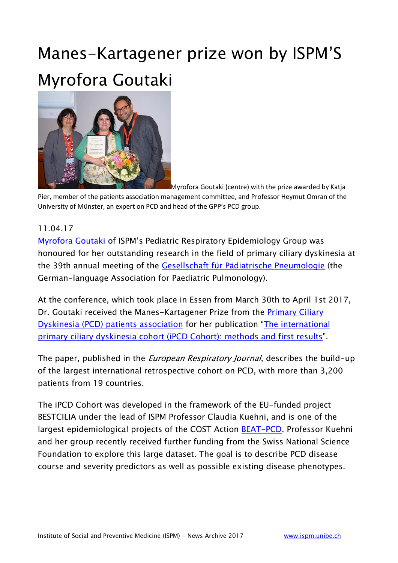### Manes-Kartagener prize won by ISPM'S Myrofora Goutaki



Myrofora Goutaki (centre) with the prize awarded by Katja Pier, member of the patients association management committee, and Professor Heymut Omran of the University of Münster, an expert on PCD and head of the GPP's PCD group.

#### 11.04.17

[Myrofora Goutaki](http://www.ispm.unibe.ch/about_us/staff/goutaki_myrofora/index_eng.html) of ISPM's Pediatric Respiratory Epidemiology Group was honoured for her outstanding research in the field of primary ciliary dyskinesia at the 39th annual meeting of the [Gesellschaft für Pädiatrische Pneumologie](http://www.sgpp-sspp.ch/de/) (the German-language Association for Paediatric Pulmonology).

At the conference, which took place in Essen from March 30th to April 1st 2017, Dr. Goutaki received the Manes-Kartagener Prize from the [Primary Ciliary](http://www.kartagener-syndrom.org/)  [Dyskinesia \(PCD\) patients association](http://www.kartagener-syndrom.org/) for her publication "[The international](https://www.ncbi.nlm.nih.gov/pmc/articles/PMC5298195/)  [primary ciliary dyskinesia cohort \(iPCD Cohort\): methods and first results](https://www.ncbi.nlm.nih.gov/pmc/articles/PMC5298195/)".

The paper, published in the *European Respiratory Journal*, describes the build-up of the largest international retrospective cohort on PCD, with more than 3,200 patients from 19 countries.

The iPCD Cohort was developed in the framework of the EU-funded project BESTCILIA under the lead of ISPM Professor Claudia Kuehni, and is one of the largest epidemiological projects of the COST Action [BEAT-PCD.](http://www.beatpcd.org/) Professor Kuehni and her group recently received further funding from the Swiss National Science Foundation to explore this large dataset. The goal is to describe PCD disease course and severity predictors as well as possible existing disease phenotypes.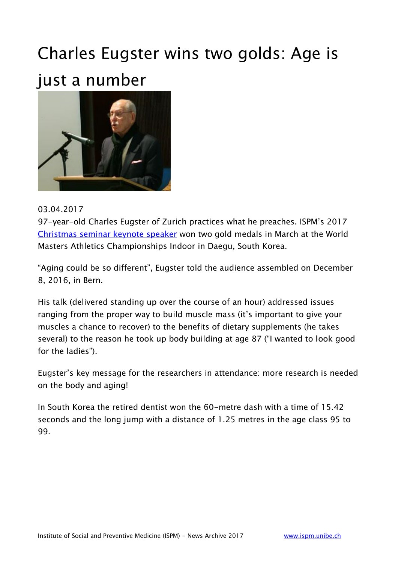### Charles Eugster wins two golds: Age is just a number



#### 03.04.2017

97-year-old Charles Eugster of Zurich practices what he preaches. ISPM's 2017 [Christmas seminar keynote speaker](http://www.ispm.unibe.ch/continuing_education/seminars/seminar_archive/index_eng.html) won two gold medals in March at the World Masters Athletics Championships Indoor in Daegu, South Korea.

"Aging could be so different", Eugster told the audience assembled on December 8, 2016, in Bern.

His talk (delivered standing up over the course of an hour) addressed issues ranging from the proper way to build muscle mass (it's important to give your muscles a chance to recover) to the benefits of dietary supplements (he takes several) to the reason he took up body building at age 87 ("I wanted to look good for the ladies").

Eugster's key message for the researchers in attendance: more research is needed on the body and aging!

In South Korea the retired dentist won the 60-metre dash with a time of 15.42 seconds and the long jump with a distance of 1.25 metres in the age class 95 to 99.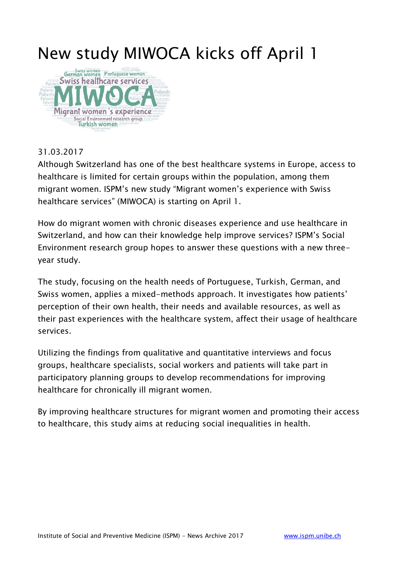### New study MIWOCA kicks off April 1



#### 31.03.2017

Although Switzerland has one of the best healthcare systems in Europe, access to healthcare is limited for certain groups within the population, among them migrant women. ISPM's new study "Migrant women's experience with Swiss healthcare services" (MIWOCA) is starting on April 1.

How do migrant women with chronic diseases experience and use healthcare in Switzerland, and how can their knowledge help improve services? ISPM's Social Environment research group hopes to answer these questions with a new threeyear study.

The study, focusing on the health needs of Portuguese, Turkish, German, and Swiss women, applies a mixed-methods approach. It investigates how patients' perception of their own health, their needs and available resources, as well as their past experiences with the healthcare system, affect their usage of healthcare services.

Utilizing the findings from qualitative and quantitative interviews and focus groups, healthcare specialists, social workers and patients will take part in participatory planning groups to develop recommendations for improving healthcare for chronically ill migrant women.

By improving healthcare structures for migrant women and promoting their access to healthcare, this study aims at reducing social inequalities in health.